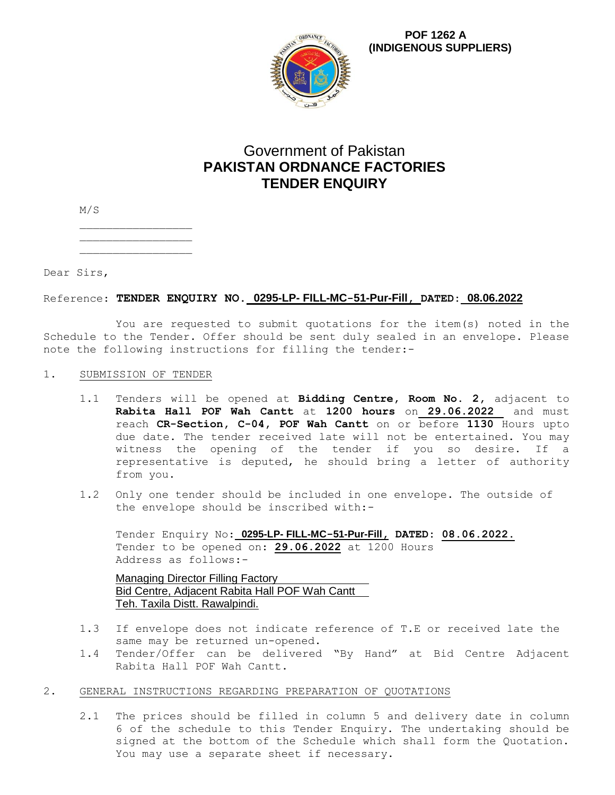

**POF 1262 A (INDIGENOUS SUPPLIERS)**

# Government of Pakistan **PAKISTAN ORDNANCE FACTORIES TENDER ENQUIRY**

M/S

Dear Sirs,

# Reference: **TENDER ENQUIRY NO. 0295-LP- FILL-MC-51-Pur-Fill, DATED: 08.06.2022**

You are requested to submit quotations for the item(s) noted in the Schedule to the Tender. Offer should be sent duly sealed in an envelope. Please note the following instructions for filling the tender:-

## 1. SUBMISSION OF TENDER

- 1.1 Tenders will be opened at **Bidding Centre, Room No. 2,** adjacent to **Rabita Hall POF Wah Cantt** at **1200 hours** on **29.06.2022** and must reach **CR-Section, C-04, POF Wah Cantt** on or before **1130** Hours upto due date. The tender received late will not be entertained. You may witness the opening of the tender if you so desire. If a representative is deputed, he should bring a letter of authority from you.
- 1.2 Only one tender should be included in one envelope. The outside of the envelope should be inscribed with:-

Tender Enquiry No: **0295-LP- FILL-MC-51-Pur-Fill, DATED: 08.06.2022.** Tender to be opened on: **29.06.2022** at 1200 Hours Address as follows:-

Managing Director Filling Factory Bid Centre, Adjacent Rabita Hall POF Wah Cantt Teh. Taxila Distt. Rawalpindi.

- 1.3 If envelope does not indicate reference of T.E or received late the same may be returned un-opened.
- 1.4 Tender/Offer can be delivered "By Hand" at Bid Centre Adjacent Rabita Hall POF Wah Cantt.
- 2. GENERAL INSTRUCTIONS REGARDING PREPARATION OF QUOTATIONS
	- 2.1 The prices should be filled in column 5 and delivery date in column 6 of the schedule to this Tender Enquiry. The undertaking should be signed at the bottom of the Schedule which shall form the Quotation. You may use a separate sheet if necessary.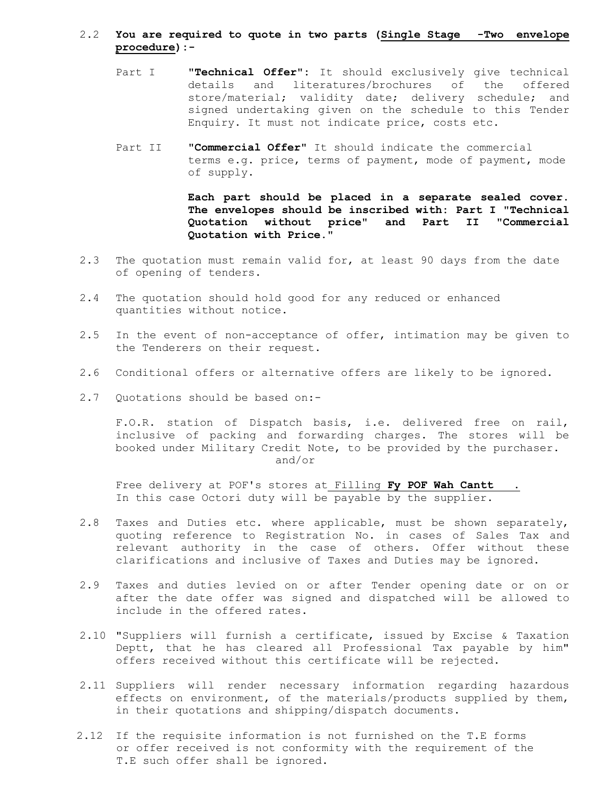### 2.2 **You are required to quote in two parts (Single Stage -Two envelope procedure):-**

- Part I **"Technical Offer":** It should exclusively give technical details and literatures/brochures of the offered store/material; validity date; delivery schedule; and signed undertaking given on the schedule to this Tender Enquiry. It must not indicate price, costs etc.
- Part II **"Commercial Offer"** It should indicate the commercial terms e.g. price, terms of payment, mode of payment, mode of supply.

**Each part should be placed in a separate sealed cover. The envelopes should be inscribed with: Part I "Technical Quotation without price" and Part II "Commercial Quotation with Price."**

- 2.3 The quotation must remain valid for, at least 90 days from the date of opening of tenders.
- 2.4 The quotation should hold good for any reduced or enhanced quantities without notice.
- 2.5 In the event of non-acceptance of offer, intimation may be given to the Tenderers on their request.
- 2.6 Conditional offers or alternative offers are likely to be ignored.
- 2.7 Quotations should be based on:-

F.O.R. station of Dispatch basis, i.e. delivered free on rail, inclusive of packing and forwarding charges. The stores will be booked under Military Credit Note, to be provided by the purchaser. and/or

Free delivery at POF's stores at Filling **Fy POF Wah Cantt** . In this case Octori duty will be payable by the supplier.

- 2.8 Taxes and Duties etc. where applicable, must be shown separately, quoting reference to Registration No. in cases of Sales Tax and relevant authority in the case of others. Offer without these clarifications and inclusive of Taxes and Duties may be ignored.
- 2.9 Taxes and duties levied on or after Tender opening date or on or after the date offer was signed and dispatched will be allowed to include in the offered rates.
- 2.10 "Suppliers will furnish a certificate, issued by Excise & Taxation Deptt, that he has cleared all Professional Tax payable by him" offers received without this certificate will be rejected.
- 2.11 Suppliers will render necessary information regarding hazardous effects on environment, of the materials/products supplied by them, in their quotations and shipping/dispatch documents.
- 2.12 If the requisite information is not furnished on the T.E forms or offer received is not conformity with the requirement of the T.E such offer shall be ignored.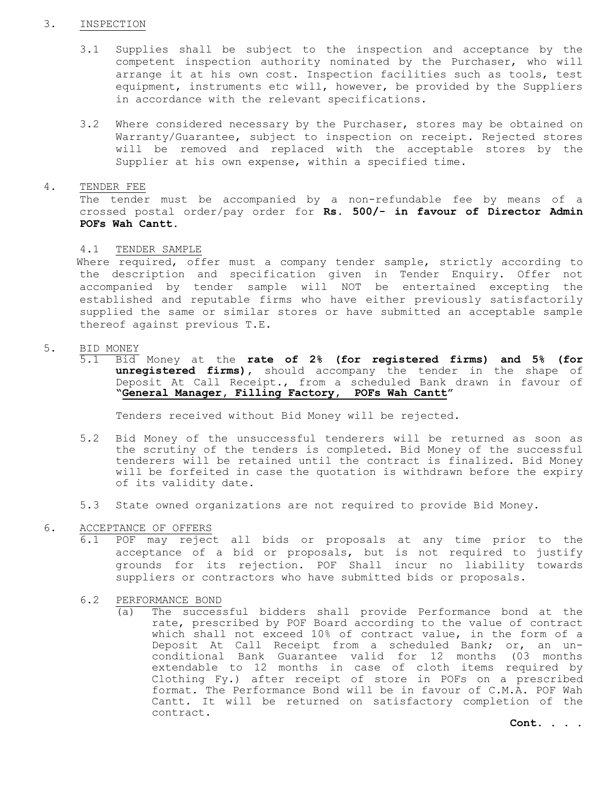#### 3. INSPECTION

- 3.1 Supplies shall be subject to the inspection and acceptance by the competent inspection authority nominated by the Purchaser, who will arrange it at his own cost. Inspection facilities such as tools, test equipment, instruments etc will, however, be provided by the Suppliers in accordance with the relevant specifications.
- 3.2 Where considered necessary by the Purchaser, stores may be obtained on Warranty/Guarantee, subject to inspection on receipt. Rejected stores will be removed and replaced with the acceptable stores by the Supplier at his own expense, within a specified time.
- 4. TENDER FEE

The tender must be accompanied by a non-refundable fee by means of a crossed postal order/pay order for **Rs. 500/- in favour of Director Admin POFs Wah Cantt.** 

4.1 TENDER SAMPLE

 Where required, offer must a company tender sample, strictly according to the description and specification given in Tender Enquiry. Offer not accompanied by tender sample will NOT be entertained excepting the established and reputable firms who have either previously satisfactorily supplied the same or similar stores or have submitted an acceptable sample thereof against previous T.E.

- 5. BID MONEY
	- 5.1 Bid Money at the **rate of 2% (for registered firms) and 5% (for unregistered firms),** should accompany the tender in the shape of Deposit At Call Receipt., from a scheduled Bank drawn in favour of **"General Manager, Filling Factory, POFs Wah Cantt"**

Tenders received without Bid Money will be rejected.

- 5.2 Bid Money of the unsuccessful tenderers will be returned as soon as the scrutiny of the tenders is completed. Bid Money of the successful tenderers will be retained until the contract is finalized. Bid Money will be forfeited in case the quotation is withdrawn before the expiry of its validity date.
- 5.3 State owned organizations are not required to provide Bid Money.
- 6. ACCEPTANCE OF OFFERS
	- 6.1 POF may reject all bids or proposals at any time prior to the acceptance of a bid or proposals, but is not required to justify grounds for its rejection. POF Shall incur no liability towards suppliers or contractors who have submitted bids or proposals.
	- 6.2 PERFORMANCE BOND
		- (a) The successful bidders shall provide Performance bond at the rate, prescribed by POF Board according to the value of contract which shall not exceed 10% of contract value, in the form of a Deposit At Call Receipt from a scheduled Bank; or, an unconditional Bank Guarantee valid for 12 months (03 months extendable to 12 months in case of cloth items required by Clothing Fy.) after receipt of store in POFs on a prescribed format. The Performance Bond will be in favour of C.M.A. POF Wah Cantt. It will be returned on satisfactory completion of the contract.

**Cont. . . .**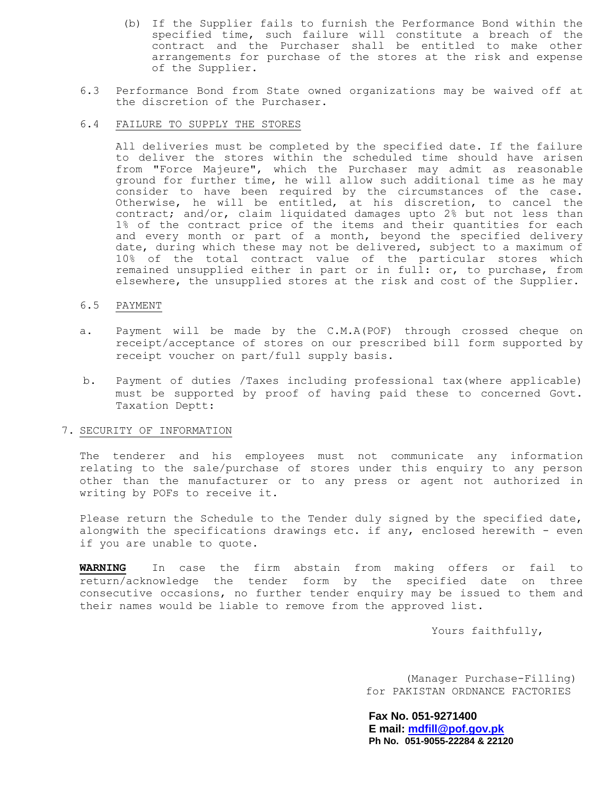- (b) If the Supplier fails to furnish the Performance Bond within the specified time, such failure will constitute a breach of the contract and the Purchaser shall be entitled to make other arrangements for purchase of the stores at the risk and expense of the Supplier.
- 6.3 Performance Bond from State owned organizations may be waived off at the discretion of the Purchaser.
- 6.4 FAILURE TO SUPPLY THE STORES

All deliveries must be completed by the specified date. If the failure to deliver the stores within the scheduled time should have arisen from "Force Majeure", which the Purchaser may admit as reasonable ground for further time, he will allow such additional time as he may consider to have been required by the circumstances of the case. Otherwise, he will be entitled, at his discretion, to cancel the contract; and/or, claim liquidated damages upto 2% but not less than 1% of the contract price of the items and their quantities for each and every month or part of a month, beyond the specified delivery date, during which these may not be delivered, subject to a maximum of 10% of the total contract value of the particular stores which remained unsupplied either in part or in full: or, to purchase, from elsewhere, the unsupplied stores at the risk and cost of the Supplier.

#### 6.5 PAYMENT

- a. Payment will be made by the C.M.A(POF) through crossed cheque on receipt/acceptance of stores on our prescribed bill form supported by receipt voucher on part/full supply basis.
- b. Payment of duties /Taxes including professional tax(where applicable) must be supported by proof of having paid these to concerned Govt. Taxation Deptt:

### 7. SECURITY OF INFORMATION

The tenderer and his employees must not communicate any information relating to the sale/purchase of stores under this enquiry to any person other than the manufacturer or to any press or agent not authorized in writing by POFs to receive it.

Please return the Schedule to the Tender duly signed by the specified date, alongwith the specifications drawings etc. if any, enclosed herewith - even if you are unable to quote.

**WARNING** In case the firm abstain from making offers or fail to return/acknowledge the tender form by the specified date on three consecutive occasions, no further tender enquiry may be issued to them and their names would be liable to remove from the approved list.

Yours faithfully,

(Manager Purchase-Filling) for PAKISTAN ORDNANCE FACTORIES

**Fax No. 051-9271400 E mail: [mdfill@pof.gov.pk](mailto:mdfill@pof.gov.pk) Ph No. 051-9055-22284 & 22120**